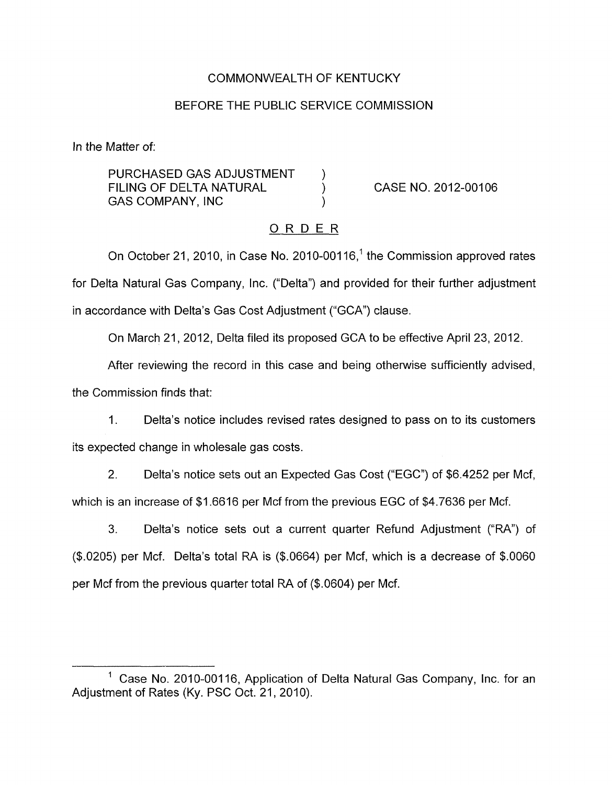# COMMONWEALTH OF KENTUCKY

# BEFORE THE PUBLIC SERVICE COMMISSION

In the Matter of:

PURCHASED GAS ADJUSTMENT ) FILING OF DELTA NATURAL ) CASE NO. 2012-00106 GAS COMPANY, INC (3)

# ORDER

On October 21, 2010, in Case No. 2010-00116,<sup>1</sup> the Commission approved rates for Delta Natural Gas Company, Inc. ("Delta") and provided for their further adjustment in accordance with Delta's Gas Cost Adjustment ("GCA") clause.

On March 21, 2012, Delta filed its proposed GCA to be effective April 23, 2012.

After reviewing the record in this case and being otherwise sufficiently advised, the Commission finds that:

1. Delta's notice includes revised rates designed to pass on to its customers its expected change in wholesale gas costs.

2. Delta's notice sets out an Expected Gas Cost ("EGC") of \$6.4252 per Mcf, which is an increase of \$1.6616 per Mcf from the previous EGC of \$4.7636 per Mcf.

**3.** Delta's notice sets out a current quarter Refund Adjustment ("RA") of (\$.0205) per Mcf. Delta's total RA is (\$.0664) per Mcf, which is a decrease of \$.0060 per Mcf from the previous quarter total RA of (\$.0604) per Mcf.

<sup>&</sup>lt;sup>1</sup> Case No. 2010-00116, Application of Delta Natural Gas Company, Inc. for an Adjustment of Rates (Ky. PSC Oct. 21, 2010).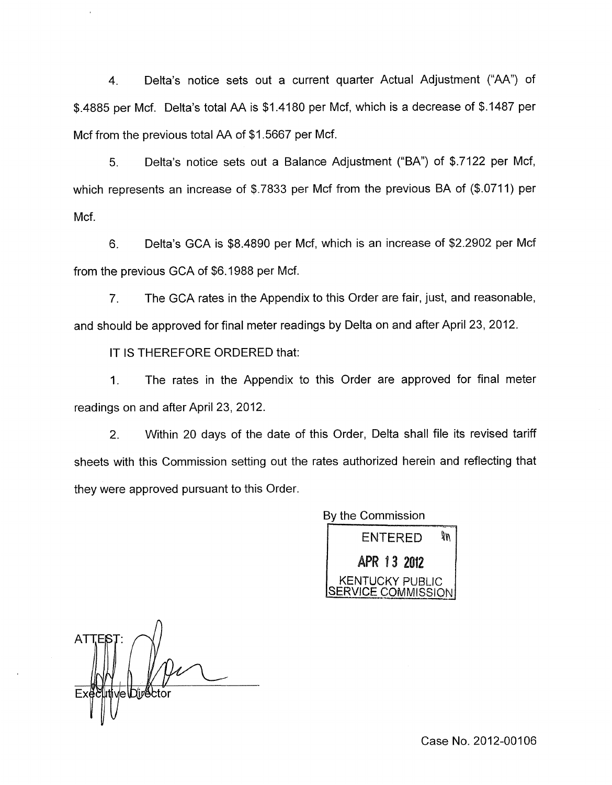4. Delta's notice sets out a current quarter Actual Adjustment ("AA") of \$.4885 per Mcf. Delta's total AA is \$1.4180 per Mcf, which is a decrease of \$.I487 per Mcf from the previous total AA of \$1.5667 per Mcf.

*5.* Delta's notice sets out a Balance Adjustment ("BA") of \$.7122 per Mcf, which represents an increase of \$.7833 per Mcf from the previous BA of (\$.0711) per Mcf.

6. Delta's GCA is \$8.4890 per Mcf, which is an increase of \$2.2902 per Mcf from the previous GCA of \$6.1988 per Mcf.

7. The GCA rates in the Appendix to this Order are fair, just, and reasonable, and should be approved for final meter readings by Delta on and after April 23, 2012.

IT **IS** THEREFORE ORDERED that:

1. The rates in the Appendix to this Order are approved for final meter readings on and after April 23, 2012.

2. Within 20 days of the date of this Order, Delta shall file its revised tariff sheets with this Commission setting out the rates authorized herein and reflecting that they were approved pursuant to this Order.

> By the Commission **ENTERED** ЯW **APR 13 2012**<br>KENTUCKY PUBLIC SERVICE COMMISSION

 $\Lambda$ ve\Dir<sup>e</sup>btor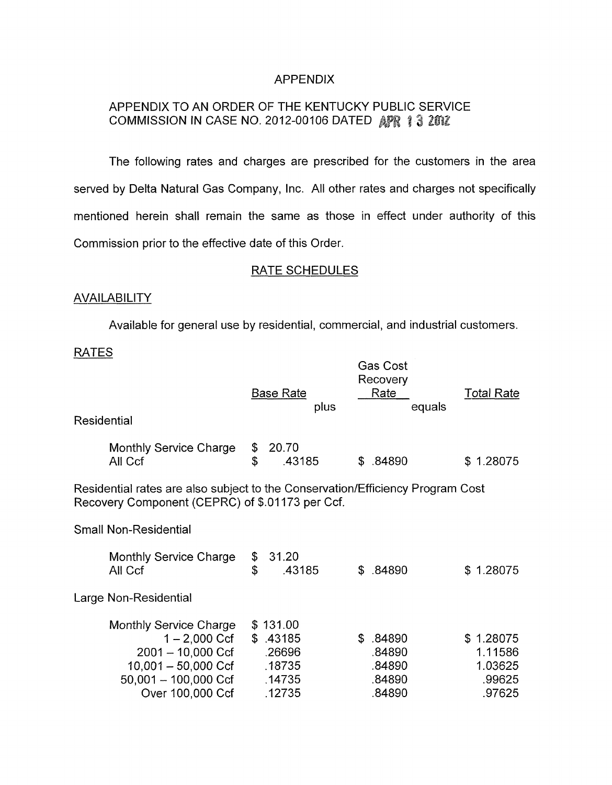### APPENDIX

# APPENDIX TO AN ORDER OF THE KENTUCKY PUBLIC SERVICE COMMISSION IN CASE NO. 2012-00106 DATED AFR 13 2012

The following rates and charges are prescribed for the customers in the area served by Delta Natural Gas Company, Inc. All other rates and charges not specifically mentioned herein shall remain the same as those in effect under authority of this Commission prior to the effective date of this Order.

## RATE SCHEDULES

#### **AVAILABILITY**

Available for general use by residential, commercial, and industrial customers.

#### RATES

| <b>Residential</b>                                                                                                                |                                                                                                                                     |          | <b>Base Rate</b><br>plus                                     |    | <b>Gas Cost</b><br>Recovery<br>Rate<br>equals     | <b>Total Rate</b>                                   |  |  |  |
|-----------------------------------------------------------------------------------------------------------------------------------|-------------------------------------------------------------------------------------------------------------------------------------|----------|--------------------------------------------------------------|----|---------------------------------------------------|-----------------------------------------------------|--|--|--|
|                                                                                                                                   | Monthly Service Charge<br>All Ccf                                                                                                   | \$<br>\$ | 20.70<br>.43185                                              | \$ | .84890                                            | \$1.28075                                           |  |  |  |
| Residential rates are also subject to the Conservation/Efficiency Program Cost<br>Recovery Component (CEPRC) of \$.01173 per Ccf. |                                                                                                                                     |          |                                                              |    |                                                   |                                                     |  |  |  |
| <b>Small Non-Residential</b>                                                                                                      |                                                                                                                                     |          |                                                              |    |                                                   |                                                     |  |  |  |
|                                                                                                                                   | <b>Monthly Service Charge</b><br>All Ccf                                                                                            | \$<br>\$ | 31.20<br>.43185                                              | S. | .84890                                            | \$1.28075                                           |  |  |  |
| Large Non-Residential                                                                                                             |                                                                                                                                     |          |                                                              |    |                                                   |                                                     |  |  |  |
|                                                                                                                                   | Monthly Service Charge<br>1 – 2,000 Ccf<br>$2001 - 10,000$ Ccf<br>10,001 – 50,000 Ccf<br>$50,001 - 100,000$ Ccf<br>Over 100,000 Ccf |          | \$131.00<br>\$.43185<br>.26696<br>.18735<br>.14735<br>.12735 |    | \$ .84890<br>.84890<br>.84890<br>.84890<br>.84890 | \$1.28075<br>1.11586<br>1.03625<br>.99625<br>.97625 |  |  |  |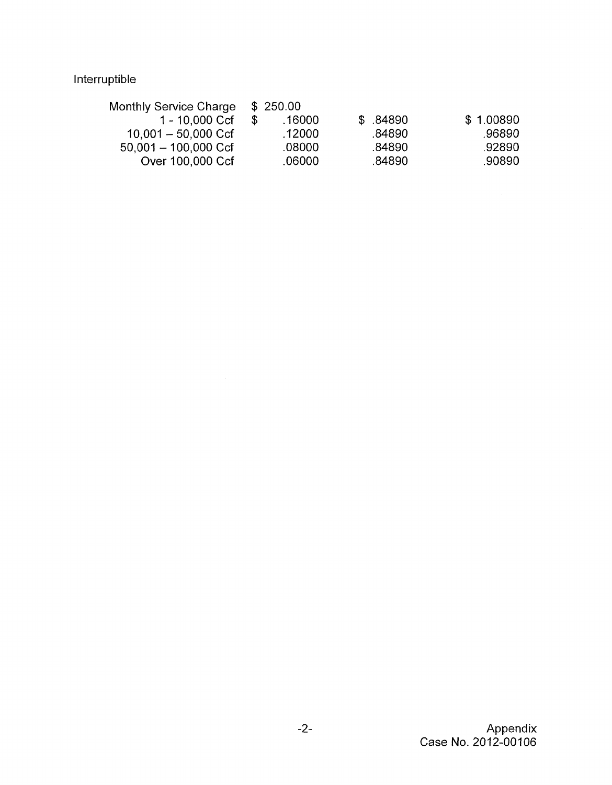# Interruptible

| \$.84890 | \$1.00890                                        |
|----------|--------------------------------------------------|
| .84890   | .96890.                                          |
| .84890   | .92890                                           |
| .84890   | .90890                                           |
|          | \$250.00<br>.16000<br>.12000<br>.08000<br>.06000 |